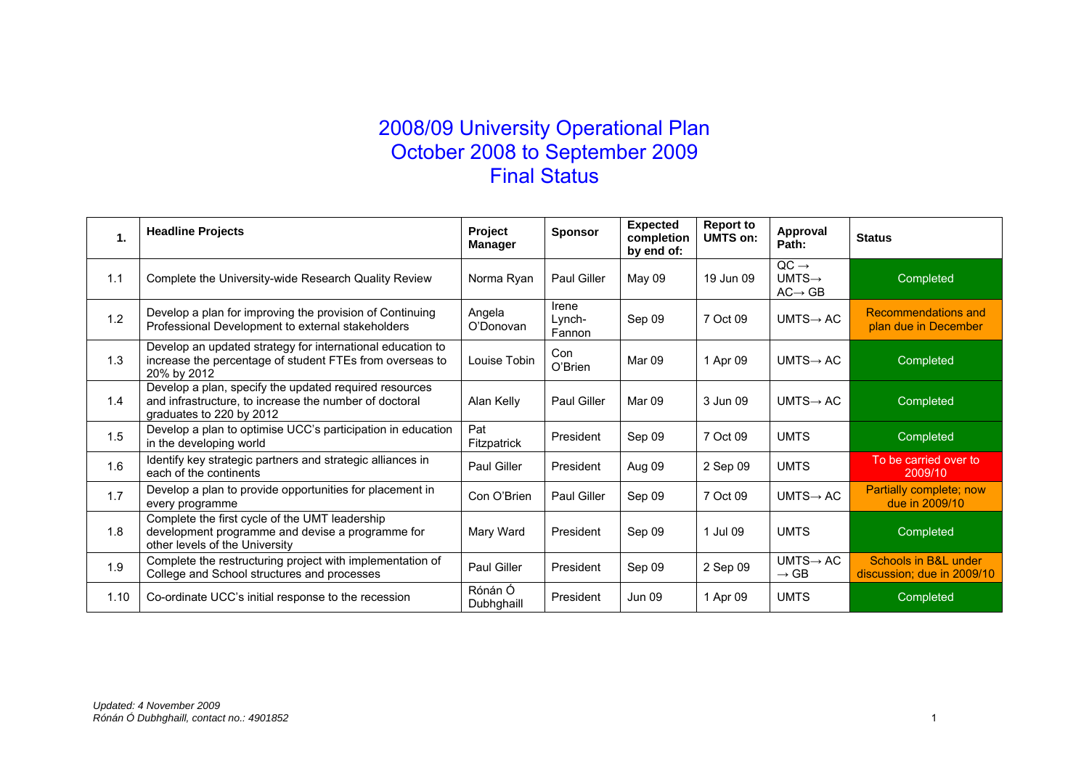## 2008/09 University Operational Plan October 2008 to September 2009 Final Status

| 1.   | <b>Headline Projects</b>                                                                                                                     | Project<br>Manager    | <b>Sponsor</b>            | <b>Expected</b><br>completion<br>by end of: | <b>Report to</b><br><b>UMTS on:</b> | Approval<br>Path:                                             | <b>Status</b>                                      |
|------|----------------------------------------------------------------------------------------------------------------------------------------------|-----------------------|---------------------------|---------------------------------------------|-------------------------------------|---------------------------------------------------------------|----------------------------------------------------|
| 1.1  | Complete the University-wide Research Quality Review                                                                                         | Norma Ryan            | <b>Paul Giller</b>        | May 09                                      | 19 Jun 09                           | $QC \rightarrow$<br>$UMTS \rightarrow$<br>$AC \rightarrow GB$ | Completed                                          |
| 1.2  | Develop a plan for improving the provision of Continuing<br>Professional Development to external stakeholders                                | Angela<br>O'Donovan   | Irene<br>_vnch-<br>Fannon | Sep 09                                      | 7 Oct 09                            | $UMTS \rightarrow AC$                                         | Recommendations and<br>plan due in December        |
| 1.3  | Develop an updated strategy for international education to<br>increase the percentage of student FTEs from overseas to<br>20% by 2012        | Louise Tobin          | Con<br>O'Brien            | Mar 09                                      | 1 Apr 09                            | $UMTS \rightarrow AC$                                         | Completed                                          |
| 1.4  | Develop a plan, specify the updated required resources<br>and infrastructure, to increase the number of doctoral<br>graduates to 220 by 2012 | Alan Kelly            | <b>Paul Giller</b>        | Mar 09                                      | 3 Jun 09                            | $UMTS \rightarrow AC$                                         | Completed                                          |
| 1.5  | Develop a plan to optimise UCC's participation in education<br>in the developing world                                                       | Pat<br>Fitzpatrick    | President                 | Sep 09                                      | 7 Oct 09                            | <b>UMTS</b>                                                   | Completed                                          |
| 1.6  | Identify key strategic partners and strategic alliances in<br>each of the continents                                                         | Paul Giller           | President                 | Aug 09                                      | 2 Sep 09                            | <b>UMTS</b>                                                   | To be carried over to<br>2009/10                   |
| 1.7  | Develop a plan to provide opportunities for placement in<br>every programme                                                                  | Con O'Brien           | Paul Giller               | Sep 09                                      | 7 Oct 09                            | $UMTS \rightarrow AC$                                         | Partially complete; now<br>due in 2009/10          |
| 1.8  | Complete the first cycle of the UMT leadership<br>development programme and devise a programme for<br>other levels of the University         | Mary Ward             | President                 | Sep 09                                      | 1 Jul 09                            | <b>UMTS</b>                                                   | Completed                                          |
| 1.9  | Complete the restructuring project with implementation of<br>College and School structures and processes                                     | Paul Giller           | President                 | Sep 09                                      | 2 Sep 09                            | $UMTS \rightarrow AC$<br>$\rightarrow$ GB                     | Schools in B&L under<br>discussion; due in 2009/10 |
| 1.10 | Co-ordinate UCC's initial response to the recession                                                                                          | Rónán Ó<br>Dubhghaill | President                 | <b>Jun 09</b>                               | 1 Apr 09                            | <b>UMTS</b>                                                   | Completed                                          |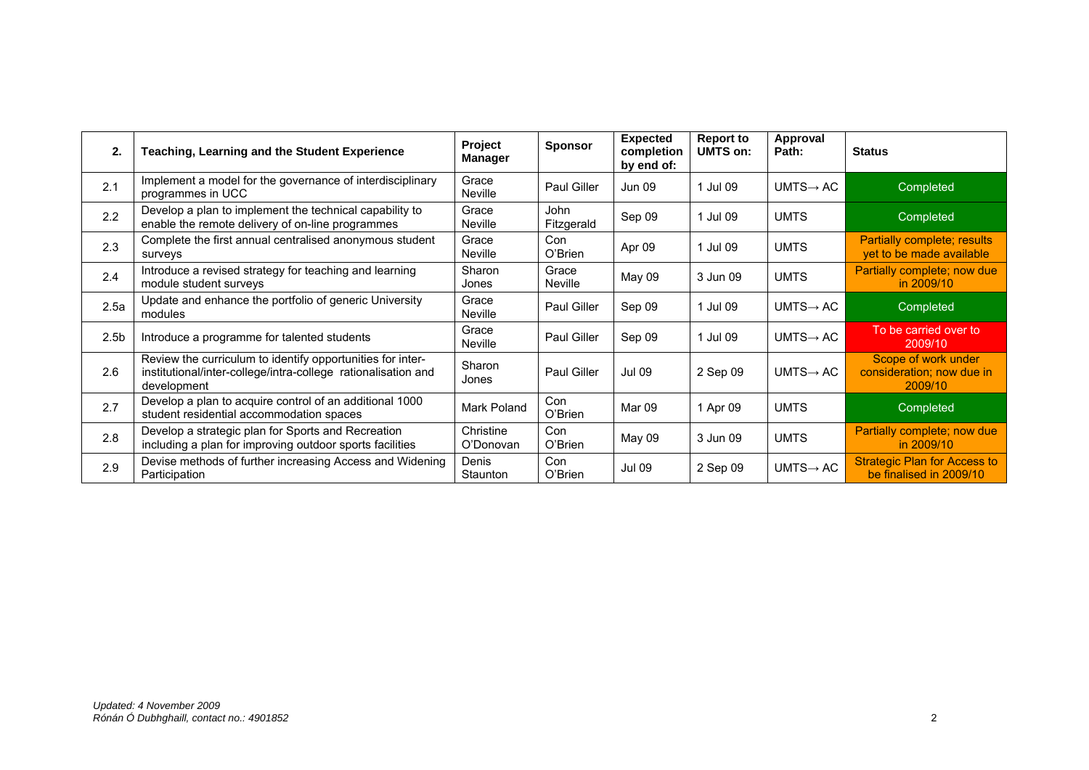| 2.               | Teaching, Learning and the Student Experience                                                                                              | Project<br>Manager      | <b>Sponsor</b>          | <b>Expected</b><br>completion<br>by end of: | <b>Report to</b><br><b>UMTS on:</b> | Approval<br>Path:     | <b>Status</b>                                                  |
|------------------|--------------------------------------------------------------------------------------------------------------------------------------------|-------------------------|-------------------------|---------------------------------------------|-------------------------------------|-----------------------|----------------------------------------------------------------|
| 2.1              | Implement a model for the governance of interdisciplinary<br>programmes in UCC                                                             | Grace<br><b>Neville</b> | <b>Paul Giller</b>      | <b>Jun 09</b>                               | 1 Jul 09                            | $UMTS \rightarrow AC$ | Completed                                                      |
| 2.2              | Develop a plan to implement the technical capability to<br>enable the remote delivery of on-line programmes                                | Grace<br>Neville        | John<br>Fitzgerald      | Sep 09                                      | 1 Jul 09                            | <b>UMTS</b>           | Completed                                                      |
| 2.3              | Complete the first annual centralised anonymous student<br>surveys                                                                         | Grace<br>Neville        | Con<br>O'Brien          | Apr 09                                      | 1 Jul 09                            | <b>UMTS</b>           | <b>Partially complete; results</b><br>yet to be made available |
| 2.4              | Introduce a revised strategy for teaching and learning<br>module student surveys                                                           | Sharon<br>Jones         | Grace<br><b>Neville</b> | May 09                                      | 3 Jun 09                            | <b>UMTS</b>           | Partially complete; now due<br>in 2009/10                      |
| 2.5a             | Update and enhance the portfolio of generic University<br>modules                                                                          | Grace<br><b>Neville</b> | <b>Paul Giller</b>      | Sep 09                                      | 1 Jul 09                            | $UMTS \rightarrow AC$ | Completed                                                      |
| 2.5 <sub>b</sub> | Introduce a programme for talented students                                                                                                | Grace<br>Neville        | <b>Paul Giller</b>      | Sep 09                                      | 1 Jul 09                            | $UMTS \rightarrow AC$ | To be carried over to<br>2009/10                               |
| 2.6              | Review the curriculum to identify opportunities for inter-<br>institutional/inter-college/intra-college rationalisation and<br>development | Sharon<br>Jones         | <b>Paul Giller</b>      | <b>Jul 09</b>                               | 2 Sep 09                            | $UMTS \rightarrow AC$ | Scope of work under<br>consideration; now due in<br>2009/10    |
| 2.7              | Develop a plan to acquire control of an additional 1000<br>student residential accommodation spaces                                        | Mark Poland             | Con<br>O'Brien          | Mar 09                                      | 1 Apr 09                            | <b>UMTS</b>           | Completed                                                      |
| 2.8              | Develop a strategic plan for Sports and Recreation<br>including a plan for improving outdoor sports facilities                             | Christine<br>O'Donovan  | Con<br>O'Brien          | May 09                                      | 3 Jun 09                            | <b>UMTS</b>           | Partially complete; now due<br>in 2009/10                      |
| 2.9              | Devise methods of further increasing Access and Widening<br>Participation                                                                  | Denis<br>Staunton       | Con<br>O'Brien          | <b>Jul 09</b>                               | 2 Sep 09                            | $UMTS \rightarrow AC$ | <b>Strategic Plan for Access to</b><br>be finalised in 2009/10 |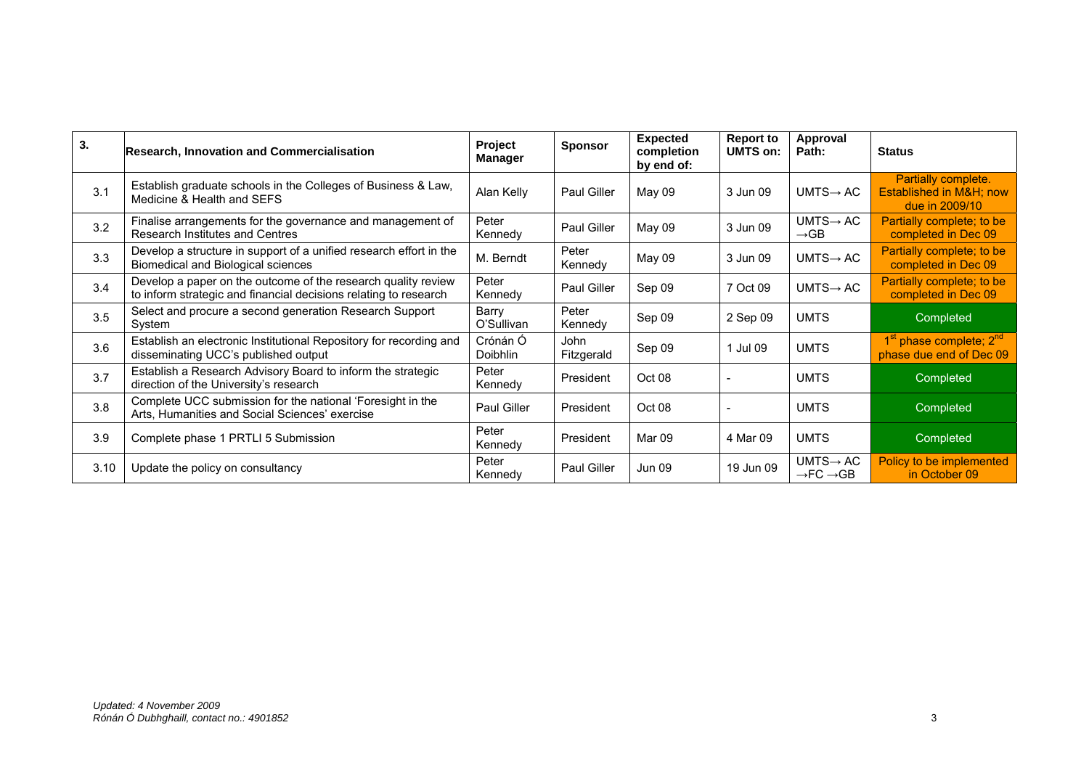| 3.   | <b>Research, Innovation and Commercialisation</b>                                                                                 | Project<br><b>Manager</b> | <b>Sponsor</b>     | <b>Expected</b><br>completion<br>by end of: | <b>Report to</b><br><b>UMTS on:</b> | Approval<br>Path:                                          | <b>Status</b>                                                              |
|------|-----------------------------------------------------------------------------------------------------------------------------------|---------------------------|--------------------|---------------------------------------------|-------------------------------------|------------------------------------------------------------|----------------------------------------------------------------------------|
| 3.1  | Establish graduate schools in the Colleges of Business & Law,<br>Medicine & Health and SEFS                                       | Alan Kelly                | Paul Giller        | May 09                                      | 3 Jun 09                            | $UMTS \rightarrow AC$                                      | Partially complete.<br>Established in M&H now<br>due in 2009/10            |
| 3.2  | Finalise arrangements for the governance and management of<br>Research Institutes and Centres                                     | Peter<br>Kennedy          | Paul Giller        | May 09                                      | 3 Jun 09                            | $UMTS \rightarrow AC$<br>$\rightarrow$ GB                  | Partially complete; to be<br>completed in Dec 09                           |
| 3.3  | Develop a structure in support of a unified research effort in the<br>Biomedical and Biological sciences                          | M. Berndt                 | Peter<br>Kennedy   | May 09                                      | 3 Jun 09                            | $UMTS \rightarrow AC$                                      | Partially complete; to be<br>completed in Dec 09                           |
| 3.4  | Develop a paper on the outcome of the research quality review<br>to inform strategic and financial decisions relating to research | Peter<br>Kennedy          | Paul Giller        | Sep 09                                      | 7 Oct 09                            | $UMTS \rightarrow AC$                                      | Partially complete; to be<br>completed in Dec 09                           |
| 3.5  | Select and procure a second generation Research Support<br>System                                                                 | Barry<br>O'Sullivan       | Peter<br>Kennedy   | Sep 09                                      | 2 Sep 09                            | <b>UMTS</b>                                                | Completed                                                                  |
| 3.6  | Establish an electronic Institutional Repository for recording and<br>disseminating UCC's published output                        | Crónán Ó<br>Doibhlin      | John<br>Fitzgerald | Sep 09                                      | 1 Jul 09                            | <b>UMTS</b>                                                | 1 <sup>st</sup> phase complete; 2 <sup>nd</sup><br>phase due end of Dec 09 |
| 3.7  | Establish a Research Advisory Board to inform the strategic<br>direction of the University's research                             | Peter<br>Kennedy          | President          | Oct 08                                      |                                     | <b>UMTS</b>                                                | Completed                                                                  |
| 3.8  | Complete UCC submission for the national 'Foresight in the<br>Arts, Humanities and Social Sciences' exercise                      | Paul Giller               | President          | Oct 08                                      |                                     | <b>UMTS</b>                                                | Completed                                                                  |
| 3.9  | Complete phase 1 PRTLI 5 Submission                                                                                               | Peter<br>Kennedy          | President          | Mar 09                                      | 4 Mar 09                            | <b>UMTS</b>                                                | Completed                                                                  |
| 3.10 | Update the policy on consultancy                                                                                                  | Peter<br>Kennedy          | Paul Giller        | Jun 09                                      | 19 Jun 09                           | $UMTS \rightarrow AC$<br>$\rightarrow$ FC $\rightarrow$ GB | Policy to be implemented<br>in October 09                                  |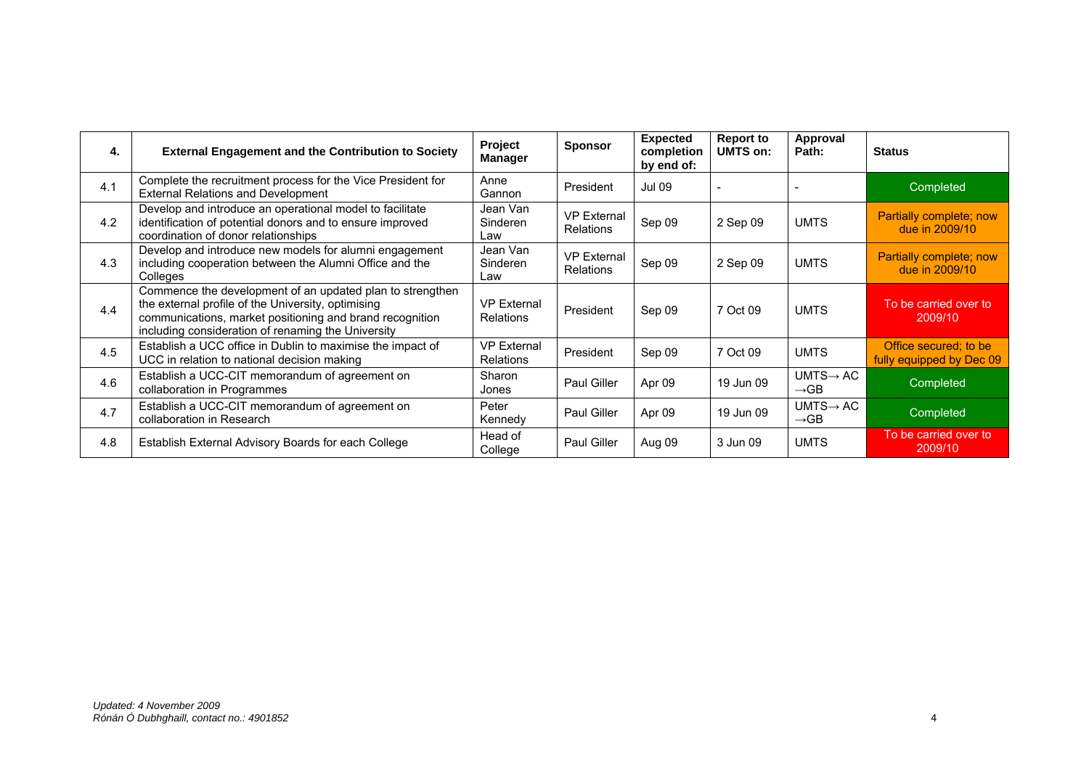| 4.  | <b>External Engagement and the Contribution to Society</b>                                                                                                                                                                        | Project<br><b>Manager</b>              | <b>Sponsor</b>                         | <b>Expected</b><br>completion<br>by end of: | <b>Report to</b><br>UMTS on: | Approval<br>Path:                         | <b>Status</b>                                     |
|-----|-----------------------------------------------------------------------------------------------------------------------------------------------------------------------------------------------------------------------------------|----------------------------------------|----------------------------------------|---------------------------------------------|------------------------------|-------------------------------------------|---------------------------------------------------|
| 4.1 | Complete the recruitment process for the Vice President for<br><b>External Relations and Development</b>                                                                                                                          | Anne<br>Gannon                         | President                              | <b>Jul 09</b>                               |                              |                                           | Completed                                         |
| 4.2 | Develop and introduce an operational model to facilitate<br>identification of potential donors and to ensure improved<br>coordination of donor relationships                                                                      | Jean Van<br>Sinderen<br>Law            | <b>VP External</b><br><b>Relations</b> | Sep 09                                      | 2 Sep 09                     | <b>UMTS</b>                               | Partially complete; now<br>due in 2009/10         |
| 4.3 | Develop and introduce new models for alumni engagement<br>including cooperation between the Alumni Office and the<br>Colleges                                                                                                     | Jean Van<br>Sinderen<br>Law            | <b>VP External</b><br>Relations        | Sep 09                                      | 2 Sep 09                     | <b>UMTS</b>                               | Partially complete; now<br>due in 2009/10         |
| 4.4 | Commence the development of an updated plan to strengthen<br>the external profile of the University, optimising<br>communications, market positioning and brand recognition<br>including consideration of renaming the University | <b>VP External</b><br><b>Relations</b> | President                              | Sep 09                                      | 7 Oct 09                     | <b>UMTS</b>                               | To be carried over to<br>2009/10                  |
| 4.5 | Establish a UCC office in Dublin to maximise the impact of<br>UCC in relation to national decision making                                                                                                                         | <b>VP External</b><br><b>Relations</b> | President                              | Sep 09                                      | 7 Oct 09                     | <b>UMTS</b>                               | Office secured; to be<br>fully equipped by Dec 09 |
| 4.6 | Establish a UCC-CIT memorandum of agreement on<br>collaboration in Programmes                                                                                                                                                     | Sharon<br>Jones                        | <b>Paul Giller</b>                     | Apr 09                                      | 19 Jun 09                    | $UMTS \rightarrow AC$<br>$\rightarrow$ GB | Completed                                         |
| 4.7 | Establish a UCC-CIT memorandum of agreement on<br>collaboration in Research                                                                                                                                                       | Peter<br>Kennedy                       | Paul Giller                            | Apr 09                                      | 19 Jun 09                    | $UMTS \rightarrow AC$<br>$\rightarrow$ GB | Completed                                         |
| 4.8 | Establish External Advisory Boards for each College                                                                                                                                                                               | Head of<br>College                     | Paul Giller                            | Aug 09                                      | 3 Jun 09                     | <b>UMTS</b>                               | To be carried over to<br>2009/10                  |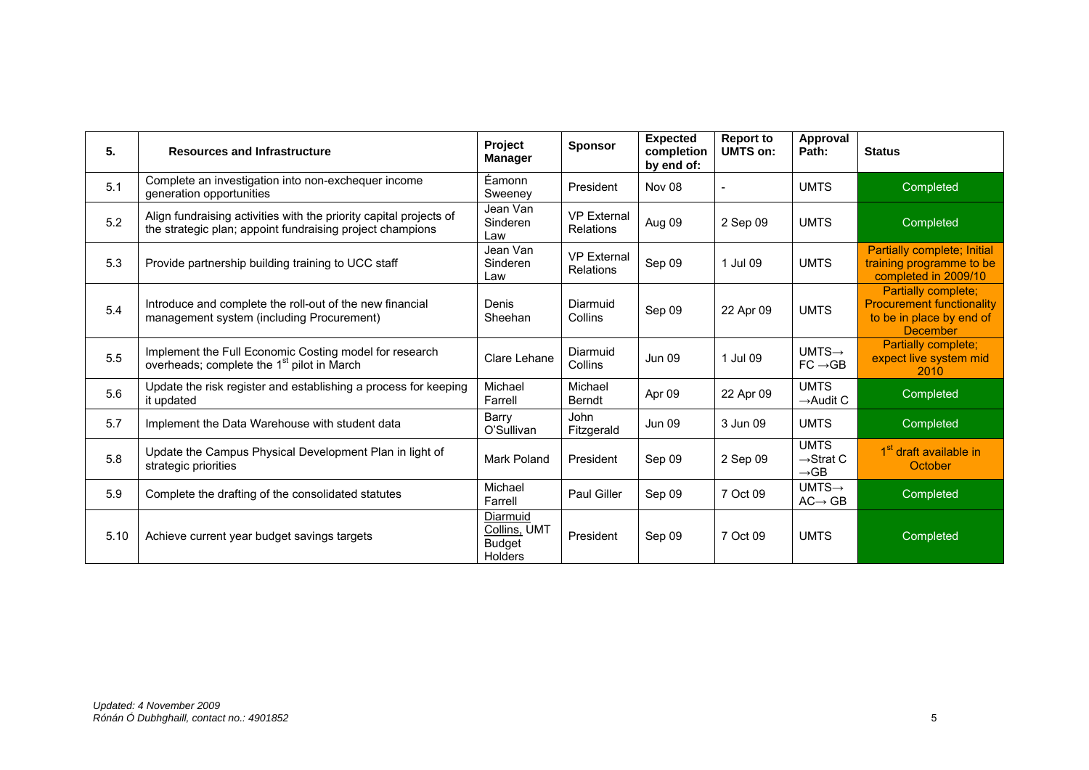| 5.   | <b>Resources and Infrastructure</b>                                                                                             | Project<br><b>Manager</b>                                   | <b>Sponsor</b>                         | <b>Expected</b><br>completion<br>by end of: | <b>Report to</b><br>UMTS on: | Approval<br>Path:                                        | <b>Status</b>                                                                                          |
|------|---------------------------------------------------------------------------------------------------------------------------------|-------------------------------------------------------------|----------------------------------------|---------------------------------------------|------------------------------|----------------------------------------------------------|--------------------------------------------------------------------------------------------------------|
| 5.1  | Complete an investigation into non-exchequer income<br>generation opportunities                                                 | Éamonn<br>Sweeney                                           | President                              | Nov 08                                      |                              | <b>UMTS</b>                                              | Completed                                                                                              |
| 5.2  | Align fundraising activities with the priority capital projects of<br>the strategic plan; appoint fundraising project champions | Jean Van<br>Sinderen<br>Law                                 | <b>VP External</b><br><b>Relations</b> | Aug 09                                      | 2 Sep 09                     | <b>UMTS</b>                                              | Completed                                                                                              |
| 5.3  | Provide partnership building training to UCC staff                                                                              | Jean Van<br>Sinderen<br>Law                                 | <b>VP External</b><br><b>Relations</b> | Sep 09                                      | 1 Jul 09                     | <b>UMTS</b>                                              | Partially complete; Initial<br>training programme to be<br>completed in 2009/10                        |
| 5.4  | Introduce and complete the roll-out of the new financial<br>management system (including Procurement)                           | Denis<br>Sheehan                                            | Diarmuid<br>Collins                    | Sep 09                                      | 22 Apr 09                    | <b>UMTS</b>                                              | Partially complete;<br><b>Procurement functionality</b><br>to be in place by end of<br><b>December</b> |
| 5.5  | Implement the Full Economic Costing model for research<br>overheads; complete the 1 <sup>st</sup> pilot in March                | Clare Lehane                                                | Diarmuid<br>Collins                    | <b>Jun 09</b>                               | 1 Jul 09                     | $UMTS \rightarrow$<br>$FC \rightarrow GB$                | Partially complete;<br>expect live system mid<br>2010                                                  |
| 5.6  | Update the risk register and establishing a process for keeping<br>it updated                                                   | Michael<br>Farrell                                          | Michael<br><b>Berndt</b>               | Apr 09                                      | 22 Apr 09                    | <b>UMTS</b><br>$\rightarrow$ Audit C                     | Completed                                                                                              |
| 5.7  | Implement the Data Warehouse with student data                                                                                  | Barry<br>O'Sullivan                                         | John<br>Fitzgerald                     | Jun 09                                      | 3 Jun 09                     | <b>UMTS</b>                                              | Completed                                                                                              |
| 5.8  | Update the Campus Physical Development Plan in light of<br>strategic priorities                                                 | Mark Poland                                                 | President                              | Sep 09                                      | 2 Sep 09                     | <b>UMTS</b><br>$\rightarrow$ Strat C<br>$\rightarrow$ GB | 1 <sup>st</sup> draft available in<br>October                                                          |
| 5.9  | Complete the drafting of the consolidated statutes                                                                              | Michael<br>Farrell                                          | <b>Paul Giller</b>                     | Sep 09                                      | 7 Oct 09                     | $UMTS \rightarrow$<br>$AC \rightarrow GB$                | Completed                                                                                              |
| 5.10 | Achieve current year budget savings targets                                                                                     | Diarmuid<br>Collins, UMT<br><b>Budget</b><br><b>Holders</b> | President                              | Sep 09                                      | 7 Oct 09                     | <b>UMTS</b>                                              | Completed                                                                                              |